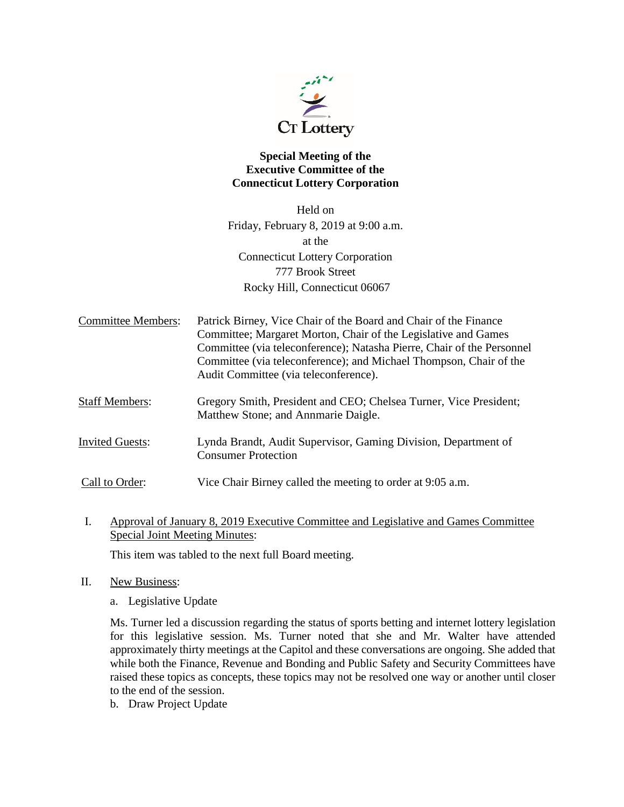

## **Special Meeting of the Executive Committee of the Connecticut Lottery Corporation**

Held on Friday, February 8, 2019 at 9:00 a.m. at the Connecticut Lottery Corporation 777 Brook Street Rocky Hill, Connecticut 06067

| <b>Committee Members:</b> | Patrick Birney, Vice Chair of the Board and Chair of the Finance                                            |
|---------------------------|-------------------------------------------------------------------------------------------------------------|
|                           | Committee; Margaret Morton, Chair of the Legislative and Games                                              |
|                           | Committee (via teleconference); Natasha Pierre, Chair of the Personnel                                      |
|                           | Committee (via teleconference); and Michael Thompson, Chair of the<br>Audit Committee (via teleconference). |
| <b>Staff Members:</b>     | Gregory Smith, President and CEO; Chelsea Turner, Vice President;                                           |
|                           | Matthew Stone; and Annmarie Daigle.                                                                         |

- Invited Guests: Lynda Brandt, Audit Supervisor, Gaming Division, Department of Consumer Protection
- Call to Order: Vice Chair Birney called the meeting to order at 9:05 a.m.
- I. Approval of January 8, 2019 Executive Committee and Legislative and Games Committee Special Joint Meeting Minutes:

This item was tabled to the next full Board meeting.

- II. New Business:
	- a. Legislative Update

Ms. Turner led a discussion regarding the status of sports betting and internet lottery legislation for this legislative session. Ms. Turner noted that she and Mr. Walter have attended approximately thirty meetings at the Capitol and these conversations are ongoing. She added that while both the Finance, Revenue and Bonding and Public Safety and Security Committees have raised these topics as concepts, these topics may not be resolved one way or another until closer to the end of the session.

b. Draw Project Update